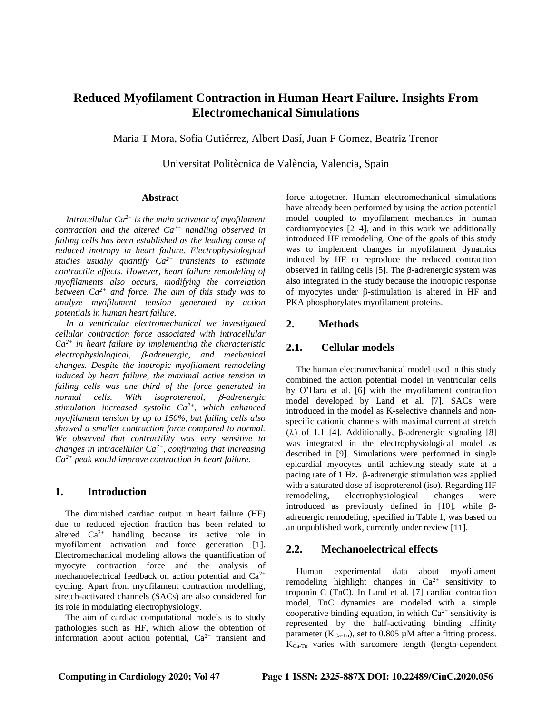# **Reduced Myofilament Contraction in Human Heart Failure. Insights From Electromechanical Simulations**

Maria T Mora, Sofia Gutiérrez, Albert Dasí, Juan F Gomez, Beatriz Trenor

Universitat Politècnica de València, Valencia, Spain

#### **Abstract**

*Intracellular Ca2+ is the main activator of myofilament contraction and the altered Ca2+ handling observed in failing cells has been established as the leading cause of reduced inotropy in heart failure. Electrophysiological studies usually quantify Ca2+ transients to estimate contractile effects. However, heart failure remodeling of myofilaments also occurs, modifying the correlation between Ca2+ and force. The aim of this study was to analyze myofilament tension generated by action potentials in human heart failure.*

*In a ventricular electromechanical we investigated cellular contraction force associated with intracellular Ca2+ in heart failure by implementing the characteristic electrophysiological, -adrenergic, and mechanical changes. Despite the inotropic myofilament remodeling induced by heart failure, the maximal active tension in failing cells was one third of the force generated in normal cells.* With *isoproterenol, β-adrenergic stimulation increased systolic Ca2+, which enhanced myofilament tension by up to 150%, but failing cells also showed a smaller contraction force compared to normal. We observed that contractility was very sensitive to changes in intracellular Ca2+, confirming that increasing Ca2+ peak would improve contraction in heart failure.*

### **1. Introduction**

The diminished cardiac output in heart failure (HF) due to reduced ejection fraction has been related to altered  $Ca^{2+}$  handling because its active role in myofilament activation and force generation [1]. Electromechanical modeling allows the quantification of myocyte contraction force and the analysis of mechanoelectrical feedback on action potential and Ca2+ cycling. Apart from myofilament contraction modelling, stretch-activated channels (SACs) are also considered for its role in modulating electrophysiology.

The aim of cardiac computational models is to study pathologies such as HF, which allow the obtention of information about action potential,  $Ca^{2+}$  transient and

force altogether. Human electromechanical simulations have already been performed by using the action potential model coupled to myofilament mechanics in human cardiomyocytes [2–4], and in this work we additionally introduced HF remodeling. One of the goals of this study was to implement changes in myofilament dynamics induced by HF to reproduce the reduced contraction observed in failing cells [5]. The β-adrenergic system was also integrated in the study because the inotropic response of myocytes under  $\beta$ -stimulation is altered in HF and PKA phosphorylates myofilament proteins.

### **2. Methods**

### **2.1. Cellular models**

The human electromechanical model used in this study combined the action potential model in ventricular cells by O'Hara et al. [6] with the myofilament contraction model developed by Land et al. [7]. SACs were introduced in the model as K-selective channels and nonspecific cationic channels with maximal current at stretch (λ) of 1.1 [4]. Additionally, β-adrenergic signaling [8] was integrated in the electrophysiological model as described in [9]. Simulations were performed in single epicardial myocytes until achieving steady state at a pacing rate of 1 Hz. β-adrenergic stimulation was applied with a saturated dose of isoproterenol (iso). Regarding HF remodeling, electrophysiological changes were introduced as previously defined in [10], while βadrenergic remodeling, specified in Table 1, was based on an unpublished work, currently under review [11].

### **2.2. Mechanoelectrical effects**

Human experimental data about myofilament remodeling highlight changes in  $Ca^{2+}$  sensitivity to troponin C (TnC). In Land et al. [7] cardiac contraction model, TnC dynamics are modeled with a simple cooperative binding equation, in which  $Ca^{2+}$  sensitivity is represented by the half-activating binding affinity parameter  $(K_{Ca-Tn})$ , set to 0.805 µM after a fitting process. KCa-Tn varies with sarcomere length (length-dependent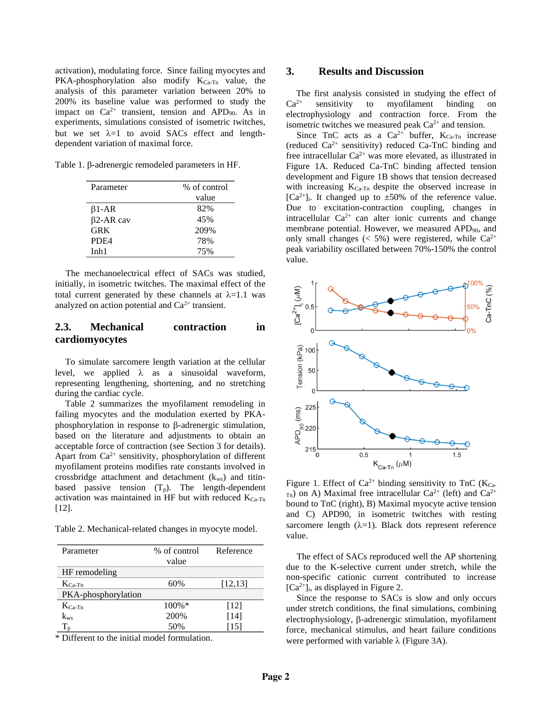activation), modulating force. Since failing myocytes and PKA-phosphorylation also modify  $K_{Ca-Tn}$  value, the analysis of this parameter variation between 20% to 200% its baseline value was performed to study the impact on  $Ca^{2+}$  transient, tension and APD<sub>90</sub>. As in experiments, simulations consisted of isometric twitches, but we set  $\lambda=1$  to avoid SACs effect and lengthdependent variation of maximal force.

Table 1.  $\beta$ -adrenergic remodeled parameters in HF.

| Parameter        | % of control |  |
|------------------|--------------|--|
|                  | value        |  |
| $\beta$ 1-AR     | 82%          |  |
| $\beta$ 2-AR cav | 45%          |  |
| GRK              | 209%         |  |
| PD <sub>F4</sub> | 78%          |  |
| Inh1             | 75%          |  |

The mechanoelectrical effect of SACs was studied, initially, in isometric twitches. The maximal effect of the total current generated by these channels at  $\lambda=1.1$  was analyzed on action potential and  $Ca^{2+}$  transient.

# **2.3. Mechanical contraction in cardiomyocytes**

To simulate sarcomere length variation at the cellular level, we applied  $\lambda$  as a sinusoidal waveform, representing lengthening, shortening, and no stretching during the cardiac cycle.

Table 2 summarizes the myofilament remodeling in failing myocytes and the modulation exerted by PKAphosphorylation in response to  $\beta$ -adrenergic stimulation, based on the literature and adjustments to obtain an acceptable force of contraction (see Section 3 for details). Apart from  $Ca^{2+}$  sensitivity, phosphorylation of different myofilament proteins modifies rate constants involved in crossbridge attachment and detachment  $(k_{ws})$  and titinbased passive tension  $(T_p)$ . The length-dependent activation was maintained in HF but with reduced  $K_{Ca-Tn}$ [12].

Table 2. Mechanical-related changes in myocyte model.

| Parameter           | % of control | Reference |
|---------------------|--------------|-----------|
|                     | value        |           |
| HF remodeling       |              |           |
| $K_{Ca-Tn}$         | 60%          | [12, 13]  |
| PKA-phosphorylation |              |           |
| $K_{Ca-Tn}$         | $100\%$ *    | [12]      |
| $k_{ws}$            | 200%         | [14]      |
|                     | 50%          | [15]      |

\* Different to the initial model formulation.

### **3. Results and Discussion**

The first analysis consisted in studying the effect of  $Ca<sup>2+</sup>$  sensitivity to myofilament binding on electrophysiology and contraction force. From the isometric twitches we measured peak  $Ca^{2+}$  and tension.

Since TnC acts as a  $Ca^{2+}$  buffer,  $K_{Ca-Tn}$  increase (reduced  $Ca^{2+}$  sensitivity) reduced  $Ca-TnC$  binding and free intracellular  $Ca^{2+}$  was more elevated, as illustrated in Figure 1A. Reduced Ca-TnC binding affected tension development and Figure 1B shows that tension decreased with increasing K<sub>Ca-Tn</sub> despite the observed increase in  $[Ca^{2+}]_i$ . It changed up to  $\pm 50\%$  of the reference value. Due to excitation-contraction coupling, changes in intracellular  $Ca^{2+}$  can alter ionic currents and change membrane potential. However, we measured APD<sub>90</sub>, and only small changes ( $\lt$  5%) were registered, while Ca<sup>2+</sup> peak variability oscillated between 70%-150% the control value.



Figure 1. Effect of  $Ca^{2+}$  binding sensitivity to TnC ( $K_{Ca}$ - $_{\text{Ta}}$ ) on A) Maximal free intracellular Ca<sup>2+</sup> (left) and Ca<sup>2+</sup> bound to TnC (right), B) Maximal myocyte active tension and C) APD90, in isometric twitches with resting sarcomere length  $(\lambda=1)$ . Black dots represent reference value.

The effect of SACs reproduced well the AP shortening due to the K-selective current under stretch, while the non-specific cationic current contributed to increase  $[Ca^{2+}]$ <sub>i</sub>, as displayed in Figure 2.

Since the response to SACs is slow and only occurs under stretch conditions, the final simulations, combining  $electrophysiology, \beta-adrenergic stimulation, myofilament$ force, mechanical stimulus, and heart failure conditions were performed with variable  $\lambda$  (Figure 3A).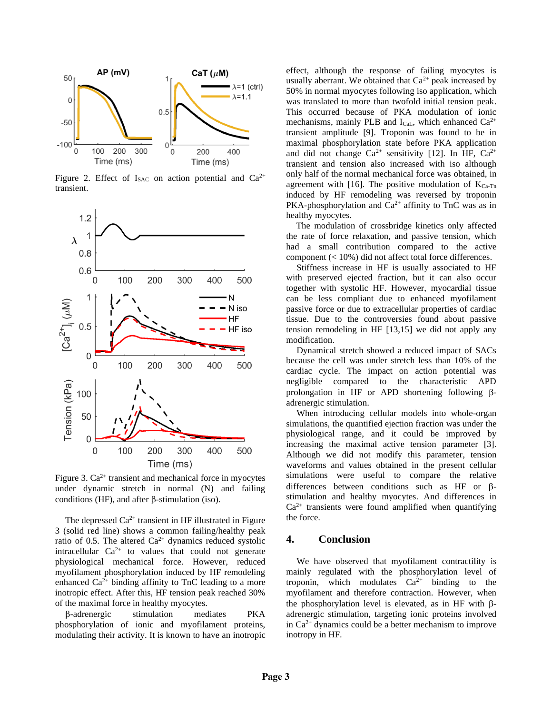

Figure 2. Effect of  $I_{SAC}$  on action potential and  $Ca^{2+}$ transient.



Figure 3.  $Ca^{2+}$  transient and mechanical force in myocytes under dynamic stretch in normal (N) and failing conditions (HF), and after  $\beta$ -stimulation (iso).

The depressed  $Ca^{2+}$  transient in HF illustrated in Figure 3 (solid red line) shows a common failing/healthy peak ratio of 0.5. The altered  $Ca^{2+}$  dynamics reduced systolic intracellular  $Ca^{2+}$  to values that could not generate physiological mechanical force. However, reduced myofilament phosphorylation induced by HF remodeling enhanced  $Ca^{2+}$  binding affinity to TnC leading to a more inotropic effect. After this, HF tension peak reached 30% of the maximal force in healthy myocytes.

-adrenergic stimulation mediates PKA phosphorylation of ionic and myofilament proteins, modulating their activity. It is known to have an inotropic

effect, although the response of failing myocytes is usually aberrant. We obtained that  $Ca^{2+}$  peak increased by 50% in normal myocytes following iso application, which was translated to more than twofold initial tension peak. This occurred because of PKA modulation of ionic mechanisms, mainly PLB and  $I_{\text{Cal}}$ , which enhanced  $Ca^{2+}$ transient amplitude [9]. Troponin was found to be in maximal phosphorylation state before PKA application and did not change  $Ca^{2+}$  sensitivity [12]. In HF,  $Ca^{2+}$ transient and tension also increased with iso although only half of the normal mechanical force was obtained, in agreement with [16]. The positive modulation of  $K_{Ca-Tn}$ induced by HF remodeling was reversed by troponin PKA-phosphorylation and  $Ca^{2+}$  affinity to TnC was as in healthy myocytes.

The modulation of crossbridge kinetics only affected the rate of force relaxation, and passive tension, which had a small contribution compared to the active component (< 10%) did not affect total force differences.

Stiffness increase in HF is usually associated to HF with preserved ejected fraction, but it can also occur together with systolic HF. However, myocardial tissue can be less compliant due to enhanced myofilament passive force or due to extracellular properties of cardiac tissue. Due to the controversies found about passive tension remodeling in HF [13,15] we did not apply any modification.

Dynamical stretch showed a reduced impact of SACs because the cell was under stretch less than 10% of the cardiac cycle. The impact on action potential was negligible compared to the characteristic APD prolongation in HF or APD shortening following  $\beta$ adrenergic stimulation.

When introducing cellular models into whole-organ simulations, the quantified ejection fraction was under the physiological range, and it could be improved by increasing the maximal active tension parameter [3]. Although we did not modify this parameter, tension waveforms and values obtained in the present cellular simulations were useful to compare the relative differences between conditions such as HF or  $\beta$ stimulation and healthy myocytes. And differences in  $Ca<sup>2+</sup>$  transients were found amplified when quantifying the force.

#### **4. Conclusion**

We have observed that myofilament contractility is mainly regulated with the phosphorylation level of troponin, which modulates  $Ca^{2+}$  binding to the myofilament and therefore contraction. However, when the phosphorylation level is elevated, as in HF with  $\beta$ adrenergic stimulation, targeting ionic proteins involved in  $Ca<sup>2+</sup>$  dynamics could be a better mechanism to improve inotropy in HF.